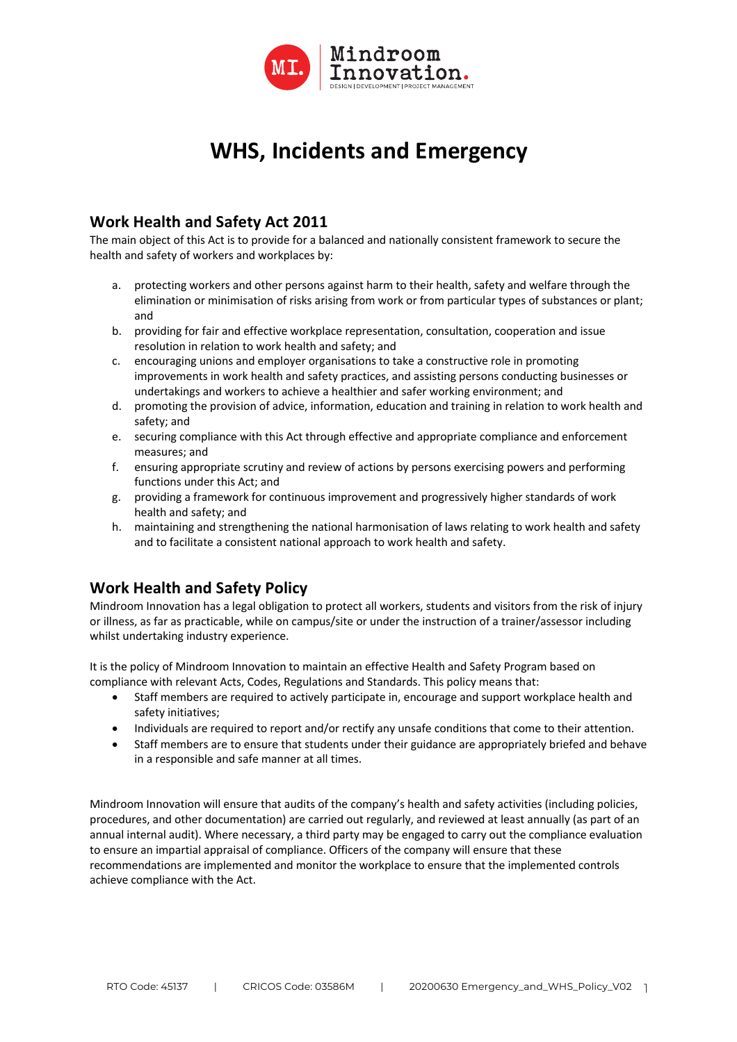

# **WHS, Incidents and Emergency**

### **Work Health and Safety Act 2011**

The main object of this Act is to provide for a balanced and nationally consistent framework to secure the health and safety of workers and workplaces by:

- a. protecting workers and other persons against harm to their health, safety and welfare through the elimination or minimisation of risks arising from work or from particular types of substances or plant; and
- b. providing for fair and effective workplace representation, consultation, cooperation and issue resolution in relation to work health and safety; and
- c. encouraging unions and employer organisations to take a constructive role in promoting improvements in work health and safety practices, and assisting persons conducting businesses or undertakings and workers to achieve a healthier and safer working environment; and
- d. promoting the provision of advice, information, education and training in relation to work health and safety; and
- e. securing compliance with this Act through effective and appropriate compliance and enforcement measures; and
- f. ensuring appropriate scrutiny and review of actions by persons exercising powers and performing functions under this Act; and
- g. providing a framework for continuous improvement and progressively higher standards of work health and safety; and
- h. maintaining and strengthening the national harmonisation of laws relating to work health and safety and to facilitate a consistent national approach to work health and safety.

# **Work Health and Safety Policy**

Mindroom Innovation has a legal obligation to protect all workers, students and visitors from the risk of injury or illness, as far as practicable, while on campus/site or under the instruction of a trainer/assessor including whilst undertaking industry experience.

It is the policy of Mindroom Innovation to maintain an effective Health and Safety Program based on compliance with relevant Acts, Codes, Regulations and Standards. This policy means that:

- Staff members are required to actively participate in, encourage and support workplace health and safety initiatives;
- Individuals are required to report and/or rectify any unsafe conditions that come to their attention.
- Staff members are to ensure that students under their guidance are appropriately briefed and behave in a responsible and safe manner at all times.

Mindroom Innovation will ensure that audits of the company's health and safety activities (including policies, procedures, and other documentation) are carried out regularly, and reviewed at least annually (as part of an annual internal audit). Where necessary, a third party may be engaged to carry out the compliance evaluation to ensure an impartial appraisal of compliance. Officers of the company will ensure that these recommendations are implemented and monitor the workplace to ensure that the implemented controls achieve compliance with the Act.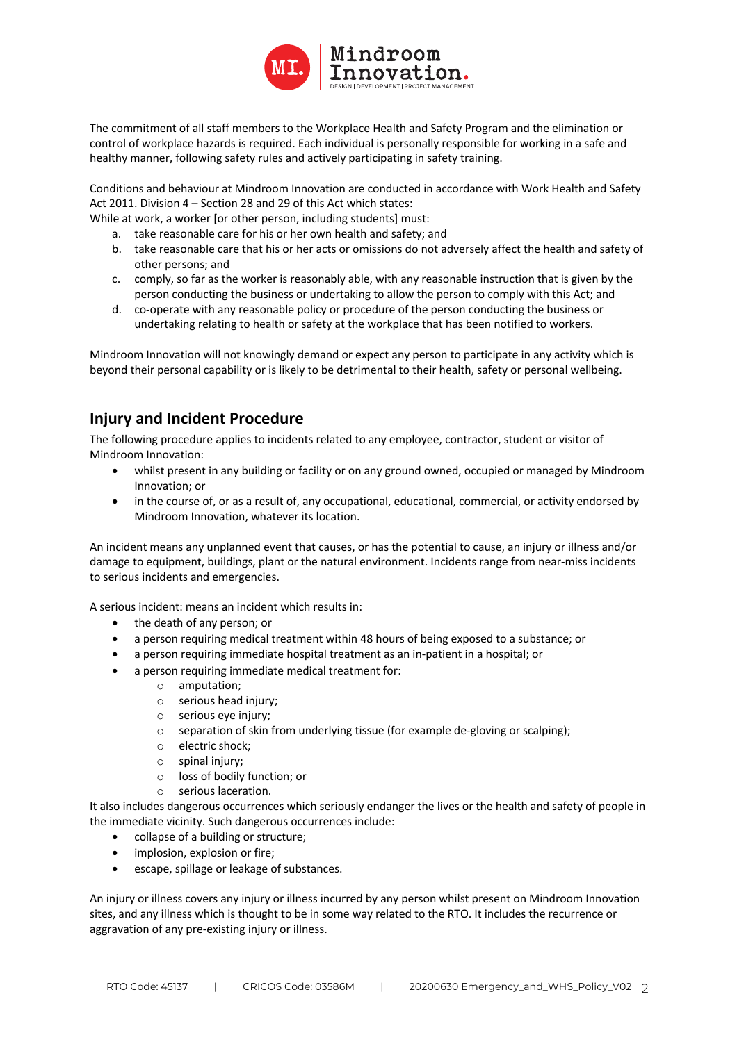

The commitment of all staff members to the Workplace Health and Safety Program and the elimination or control of workplace hazards is required. Each individual is personally responsible for working in a safe and healthy manner, following safety rules and actively participating in safety training.

Conditions and behaviour at Mindroom Innovation are conducted in accordance with Work Health and Safety Act 2011. Division 4 – Section 28 and 29 of this Act which states:

While at work, a worker for other person, including students] must:

- a. take reasonable care for his or her own health and safety; and
- b. take reasonable care that his or her acts or omissions do not adversely affect the health and safety of other persons; and
- c. comply, so far as the worker is reasonably able, with any reasonable instruction that is given by the person conducting the business or undertaking to allow the person to comply with this Act; and
- d. co-operate with any reasonable policy or procedure of the person conducting the business or undertaking relating to health or safety at the workplace that has been notified to workers.

Mindroom Innovation will not knowingly demand or expect any person to participate in any activity which is beyond their personal capability or is likely to be detrimental to their health, safety or personal wellbeing.

# **Injury and Incident Procedure**

The following procedure applies to incidents related to any employee, contractor, student or visitor of Mindroom Innovation:

- whilst present in any building or facility or on any ground owned, occupied or managed by Mindroom Innovation; or
- in the course of, or as a result of, any occupational, educational, commercial, or activity endorsed by Mindroom Innovation, whatever its location.

An incident means any unplanned event that causes, or has the potential to cause, an injury or illness and/or damage to equipment, buildings, plant or the natural environment. Incidents range from near-miss incidents to serious incidents and emergencies.

A serious incident: means an incident which results in:

- the death of any person; or
- a person requiring medical treatment within 48 hours of being exposed to a substance; or
- a person requiring immediate hospital treatment as an in-patient in a hospital; or
- a person requiring immediate medical treatment for:
	- o amputation;
	- o serious head injury;
	- o serious eye injury;
	- o separation of skin from underlying tissue (for example de-gloving or scalping);
	- o electric shock;
	- o spinal injury;
	- o loss of bodily function; or
	- serious laceration.

It also includes dangerous occurrences which seriously endanger the lives or the health and safety of people in the immediate vicinity. Such dangerous occurrences include:

- collapse of a building or structure;
- implosion, explosion or fire;
- escape, spillage or leakage of substances.

An injury or illness covers any injury or illness incurred by any person whilst present on Mindroom Innovation sites, and any illness which is thought to be in some way related to the RTO. It includes the recurrence or aggravation of any pre-existing injury or illness.